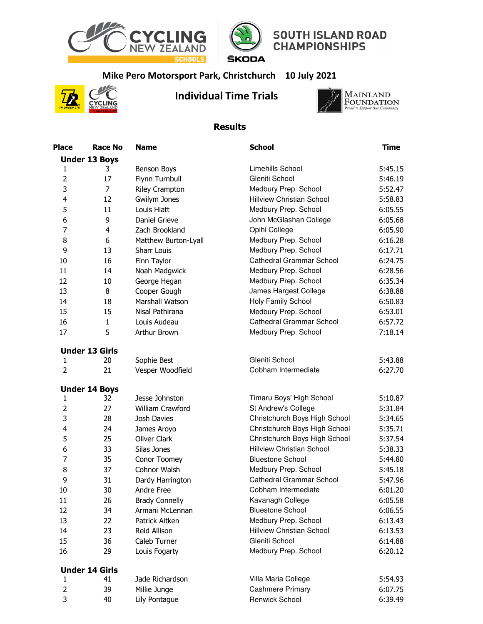



## **SOUTH ISLAND ROAD**<br>CHAMPIONSHIPS

## **Mike Pero Motorsport Park, Christchurch 10 July 2021**



## **Individual Time Trials**



## **Results**

| Place                   | <b>Race No</b>        | <b>Name</b>           | <b>School</b>                    | Time    |
|-------------------------|-----------------------|-----------------------|----------------------------------|---------|
|                         | <b>Under 13 Boys</b>  |                       |                                  |         |
| $\mathbf{1}$            | 3                     | Benson Boys           | Limehills School                 | 5:45.15 |
| $\overline{2}$          | 17                    | Flynn Turnbull        | Gleniti School                   | 5:46.19 |
| 3                       | $\overline{7}$        | Riley Crampton        | Medbury Prep. School             | 5:52.47 |
| $\overline{\mathbf{4}}$ | 12                    | Gwilym Jones          | <b>Hillview Christian School</b> | 5:58.83 |
| 5                       | 11                    | Louis Hiatt           | Medbury Prep. School             | 6:05.55 |
| 6                       | 9                     | Daniel Grieve         | John McGlashan College           | 6:05.68 |
| $\overline{7}$          | $\overline{4}$        | Zach Brookland        | Opihi College                    | 6:05.90 |
| 8                       | 6                     | Matthew Burton-Lyall  | Medbury Prep. School             | 6:16.28 |
| 9                       | 13                    | Sharr Louis           | Medbury Prep. School             | 6:17.71 |
| 10                      | 16                    | Finn Taylor           | <b>Cathedral Grammar School</b>  | 6:24.75 |
| 11                      | 14                    | Noah Madgwick         | Medbury Prep. School             | 6:28.56 |
| 12                      | 10                    | George Hegan          | Medbury Prep. School             | 6:35.34 |
| 13                      | 8                     | Cooper Gough          | James Hargest College            | 6:38.88 |
| 14                      | 18                    | Marshall Watson       | Holy Family School               | 6:50.83 |
| 15                      | 15                    | Nisal Pathirana       | Medbury Prep. School             | 6:53.01 |
| 16                      | $\mathbf{1}$          | Louis Audeau          | <b>Cathedral Grammar School</b>  | 6:57.72 |
| 17                      | 5                     | Arthur Brown          | Medbury Prep. School             | 7:18.14 |
|                         | <b>Under 13 Girls</b> |                       |                                  |         |
| $\mathbf{1}$            | 20                    | Sophie Best           | Gleniti School                   | 5:43.88 |
| $\overline{2}$          | 21                    | Vesper Woodfield      | Cobham Intermediate              | 6:27.70 |
|                         | <b>Under 14 Boys</b>  |                       |                                  |         |
| $\mathbf{1}$            | 32                    | Jesse Johnston        | Timaru Boys' High School         | 5:10.87 |
| $\overline{2}$          | 27                    | William Crawford      | St Andrew's College              | 5:31.84 |
| 3                       | 28                    | Josh Davies           | Christchurch Boys High School    | 5:34.65 |
| $\overline{\mathbf{4}}$ | 24                    | James Aroyo           | Christchurch Boys High School    | 5:35.71 |
| 5                       | 25                    | <b>Oliver Clark</b>   | Christchurch Boys High School    | 5:37.54 |
| 6                       | 33                    | Silas Jones           | <b>Hillview Christian School</b> | 5:38.33 |
| 7                       | 35                    | Conor Toomey          | <b>Bluestone School</b>          | 5:44.80 |
| 8                       | 37                    | Cohnor Walsh          | Medbury Prep. School             | 5:45.18 |
| 9                       | 31                    | Dardy Harrington      | <b>Cathedral Grammar School</b>  | 5:47.96 |
| 10                      | 30                    | Andre Free            | Cobham Intermediate              | 6:01.20 |
| 11                      | 26                    | <b>Brady Connelly</b> | Kavanagh College                 | 6:05.58 |
| 12                      | 34                    | Armani McLennan       | <b>Bluestone School</b>          | 6:06.55 |
| 13                      | 22                    | Patrick Aitken        | Medbury Prep. School             | 6:13.43 |
| 14                      | 23                    | Reid Allison          | <b>Hillview Christian School</b> | 6:13.53 |
| 15                      | 36                    | Caleb Turner          | Gleniti School                   | 6:14.88 |
| 16                      | 29                    | Louis Fogarty         | Medbury Prep. School             | 6:20.12 |
|                         | <b>Under 14 Girls</b> |                       |                                  |         |
| $\mathbf{1}$            | 41                    | Jade Richardson       | Villa Maria College              | 5:54.93 |
| $\overline{2}$          | 39                    | Millie Junge          | <b>Cashmere Primary</b>          | 6:07.75 |
| 3                       | 40                    | Lily Pontague         | Renwick School                   | 6:39.49 |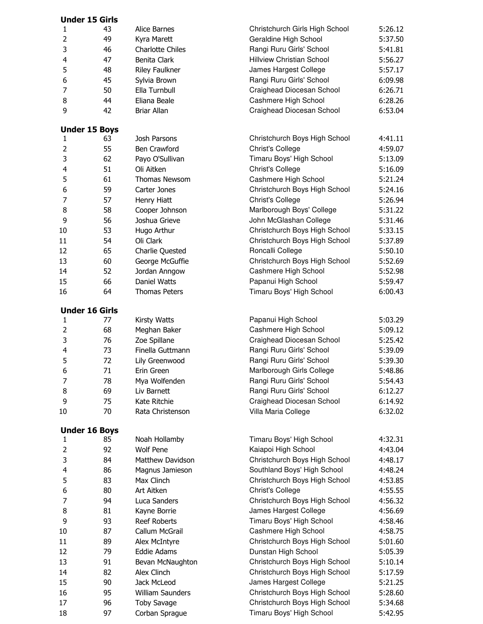|                | <b>Under 15 Girls</b> |                         |                                  |         |
|----------------|-----------------------|-------------------------|----------------------------------|---------|
| 1              | 43                    | Alice Barnes            | Christchurch Girls High School   | 5:26.12 |
| $\overline{2}$ | 49                    | Kyra Marett             | Geraldine High School            | 5:37.50 |
| 3              | 46                    | <b>Charlotte Chiles</b> | Rangi Ruru Girls' School         | 5:41.81 |
| 4              | 47                    | Benita Clark            | <b>Hillview Christian School</b> | 5:56.27 |
| 5              | 48                    | Riley Faulkner          | James Hargest College            | 5:57.17 |
| 6              | 45                    | Sylvia Brown            | Rangi Ruru Girls' School         | 6:09.98 |
| 7              | 50                    | Ella Turnbull           | Craighead Diocesan School        | 6:26.71 |
| 8              | 44                    | Eliana Beale            | Cashmere High School             | 6:28.26 |
| 9              | 42                    | <b>Briar Allan</b>      | Craighead Diocesan School        | 6:53.04 |
|                |                       |                         |                                  |         |
|                | <b>Under 15 Boys</b>  |                         |                                  |         |
| 1              | 63                    | Josh Parsons            | Christchurch Boys High School    | 4:41.11 |
| $\overline{2}$ | 55                    | Ben Crawford            | <b>Christ's College</b>          | 4:59.07 |
| 3              | 62                    | Payo O'Sullivan         | Timaru Boys' High School         | 5:13.09 |
| 4              | 51                    | Oli Aitken              | Christ's College                 | 5:16.09 |
| 5              | 61                    | Thomas Newsom           | Cashmere High School             | 5:21.24 |
| 6              | 59                    | Carter Jones            | Christchurch Boys High School    | 5:24.16 |
| 7              | 57                    | Henry Hiatt             | Christ's College                 | 5:26.94 |
| 8              | 58                    | Cooper Johnson          | Marlborough Boys' College        | 5:31.22 |
| 9              | 56                    | Joshua Grieve           | John McGlashan College           | 5:31.46 |
| 10             | 53                    | Hugo Arthur             | Christchurch Boys High School    | 5:33.15 |
| 11             | 54                    | Oli Clark               | Christchurch Boys High School    | 5:37.89 |
| 12             | 65                    | Charlie Quested         | Roncalli College                 | 5:50.10 |
| 13             | 60                    | George McGuffie         | Christchurch Boys High School    | 5:52.69 |
|                | 52                    | Jordan Anngow           | Cashmere High School             | 5:52.98 |
| 14<br>15       | 66                    | Daniel Watts            |                                  | 5:59.47 |
|                |                       |                         | Papanui High School              |         |
| 16             | 64                    | <b>Thomas Peters</b>    | Timaru Boys' High School         | 6:00.43 |
|                | <b>Under 16 Girls</b> |                         |                                  |         |
| 1              | 77                    | Kirsty Watts            | Papanui High School              | 5:03.29 |
| $\overline{2}$ | 68                    | Meghan Baker            | Cashmere High School             | 5:09.12 |
| 3              | 76                    | Zoe Spillane            | Craighead Diocesan School        | 5:25.42 |
| 4              | 73                    | Finella Guttmann        | Rangi Ruru Girls' School         | 5:39.09 |
| 5              | 72                    | Lily Greenwood          | Rangi Ruru Girls' School         | 5:39.30 |
| 6              | 71                    | Erin Green              | Marlborough Girls College        | 5:48.86 |
| 7              | 78                    | Mya Wolfenden           | Rangi Ruru Girls' School         | 5:54.43 |
| 8              | 69                    | Liv Barnett             | Rangi Ruru Girls' School         | 6:12.27 |
| 9              | 75                    | Kate Ritchie            | Craighead Diocesan School        | 6:14.92 |
| 10             | 70                    | Rata Christenson        | Villa Maria College              | 6:32.02 |
|                |                       |                         |                                  |         |
|                | <b>Under 16 Boys</b>  |                         |                                  |         |
| $\mathbf{1}$   | 85                    | Noah Hollamby           | Timaru Boys' High School         | 4:32.31 |
| $\overline{2}$ | 92                    | <b>Wolf Pene</b>        | Kaiapoi High School              | 4:43.04 |
| 3              | 84                    | <b>Matthew Davidson</b> | Christchurch Boys High School    | 4:48.17 |
| 4              | 86                    | Magnus Jamieson         | Southland Boys' High School      | 4:48.24 |
| 5              | 83                    | Max Clinch              | Christchurch Boys High School    | 4:53.85 |
| 6              | 80                    | Art Aitken              | <b>Christ's College</b>          | 4:55.55 |
| 7              | 94                    | Luca Sanders            | Christchurch Boys High School    | 4:56.32 |
| 8              | 81                    | Kayne Borrie            | James Hargest College            | 4:56.69 |
| 9              | 93                    | <b>Reef Roberts</b>     | Timaru Boys' High School         | 4:58.46 |
| 10             | 87                    | Callum McGrail          | Cashmere High School             | 4:58.75 |
| 11             | 89                    | Alex McIntyre           | Christchurch Boys High School    | 5:01.60 |
| 12             | 79                    | Eddie Adams             | Dunstan High School              | 5:05.39 |
| 13             | 91                    | Bevan McNaughton        | Christchurch Boys High School    | 5:10.14 |
| 14             | 82                    | Alex Clinch             | Christchurch Boys High School    | 5:17.59 |
| 15             | 90                    | Jack McLeod             | James Hargest College            | 5:21.25 |
| 16             | 95                    | <b>William Saunders</b> | Christchurch Boys High School    | 5:28.60 |
| 17             |                       |                         | Christchurch Boys High School    |         |
|                | 96<br>97              | <b>Toby Savage</b>      | Timaru Boys' High School         | 5:34.68 |
| 18             |                       | Corban Sprague          |                                  | 5:42.95 |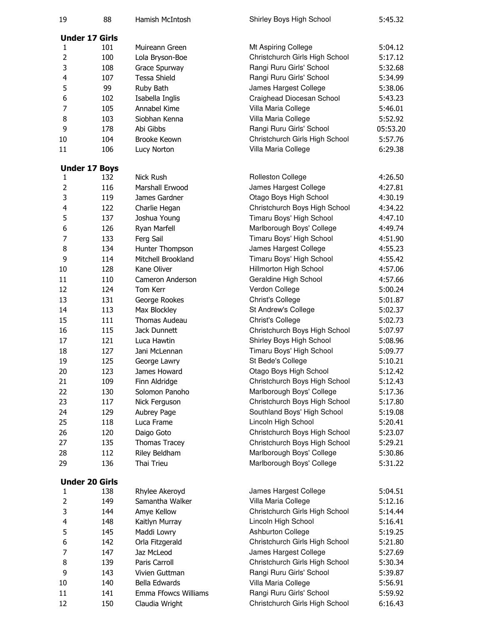| 19             | 88                    | Hamish McIntosh                      | Shirley Boys High School       | 5:45.32  |
|----------------|-----------------------|--------------------------------------|--------------------------------|----------|
|                | <b>Under 17 Girls</b> |                                      |                                |          |
| 1              | 101                   | Muireann Green                       | Mt Aspiring College            | 5:04.12  |
| $\overline{2}$ | 100                   | Lola Bryson-Boe                      | Christchurch Girls High School | 5:17.12  |
| 3              | 108                   | Grace Spurway                        | Rangi Ruru Girls' School       | 5:32.68  |
| $\overline{4}$ | 107                   | <b>Tessa Shield</b>                  | Rangi Ruru Girls' School       | 5:34.99  |
| 5              | 99                    | Ruby Bath                            | James Hargest College          | 5:38.06  |
| 6              | 102                   | Isabella Inglis                      | Craighead Diocesan School      | 5:43.23  |
| $\overline{7}$ | 105                   | Annabel Kime                         | Villa Maria College            | 5:46.01  |
| 8              | 103                   | Siobhan Kenna                        | Villa Maria College            | 5:52.92  |
| 9              | 178                   | Abi Gibbs                            | Rangi Ruru Girls' School       | 05:53.20 |
| 10             | 104                   | Brooke Keown                         | Christchurch Girls High School | 5:57.76  |
| 11             | 106                   | Lucy Norton                          | Villa Maria College            | 6:29.38  |
|                | <b>Under 17 Boys</b>  |                                      |                                |          |
| $\mathbf{1}$   | 132                   | Nick Rush                            | <b>Rolleston College</b>       | 4:26.50  |
| $\overline{2}$ | 116                   | Marshall Erwood                      | James Hargest College          | 4:27.81  |
| 3              | 119                   | James Gardner                        | Otago Boys High School         | 4:30.19  |
| $\overline{4}$ | 122                   | Charlie Hegan                        | Christchurch Boys High School  | 4:34.22  |
| 5              | 137                   | Joshua Young                         | Timaru Boys' High School       | 4:47.10  |
| 6              | 126                   | Ryan Marfell                         | Marlborough Boys' College      | 4:49.74  |
| 7              | 133                   | Ferg Sail                            | Timaru Boys' High School       | 4:51.90  |
| 8              | 134                   | Hunter Thompson                      | James Hargest College          | 4:55.23  |
| 9              | 114                   | Mitchell Brookland                   | Timaru Boys' High School       | 4:55.42  |
| 10             | 128                   | Kane Oliver                          | Hillmorton High School         | 4:57.06  |
| 11             | 110                   | Cameron Anderson                     | Geraldine High School          | 4:57.66  |
| 12             | 124                   | Tom Kerr                             | Verdon College                 | 5:00.24  |
| 13             | 131                   | George Rookes                        | Christ's College               | 5:01.87  |
| 14             |                       |                                      | St Andrew's College            | 5:02.37  |
| 15             | 113<br>111            | Max Blockley<br><b>Thomas Audeau</b> |                                |          |
|                |                       |                                      | Christ's College               | 5:02.73  |
| 16             | 115                   | Jack Dunnett                         | Christchurch Boys High School  | 5:07.97  |
| 17             | 121                   | Luca Hawtin                          | Shirley Boys High School       | 5:08.96  |
| 18             | 127                   | Jani McLennan                        | Timaru Boys' High School       | 5:09.77  |
| 19             | 125                   | George Lawry                         | St Bede's College              | 5:10.21  |
| 20             | 123                   | James Howard                         | Otago Boys High School         | 5:12.42  |
| 21             | 109                   | Finn Aldridge                        | Christchurch Boys High School  | 5:12.43  |
| 22             | 130                   | Solomon Panoho                       | Marlborough Boys' College      | 5:17.36  |
| 23             | 117                   | Nick Ferguson                        | Christchurch Boys High School  | 5:17.80  |
| 24             | 129                   | Aubrey Page                          | Southland Boys' High School    | 5:19.08  |
| 25             | 118                   | Luca Frame                           | Lincoln High School            | 5:20.41  |
| 26             | 120                   | Daigo Goto                           | Christchurch Boys High School  | 5:23.07  |
| 27             | 135                   | Thomas Tracey                        | Christchurch Boys High School  | 5:29.21  |
| 28             | 112                   | Riley Beldham                        | Marlborough Boys' College      | 5:30.86  |
| 29             | 136                   | Thai Trieu                           | Marlborough Boys' College      | 5:31.22  |
|                | <b>Under 20 Girls</b> |                                      |                                |          |
| 1              | 138                   | Rhylee Akeroyd                       | James Hargest College          | 5:04.51  |
| $\overline{2}$ | 149                   | Samantha Walker                      | Villa Maria College            | 5:12.16  |
| 3              | 144                   | Amye Kellow                          | Christchurch Girls High School | 5:14.44  |
| 4              | 148                   | Kaitlyn Murray                       | Lincoln High School            | 5:16.41  |
| 5              | 145                   | Maddi Lowry                          | Ashburton College              | 5:19.25  |
| 6              | 142                   | Orla Fitzgerald                      | Christchurch Girls High School | 5:21.80  |
| 7              | 147                   | Jaz McLeod                           | James Hargest College          | 5:27.69  |
| 8              | 139                   | Paris Carroll                        | Christchurch Girls High School | 5:30.34  |
| 9              | 143                   | Vivien Guttman                       | Rangi Ruru Girls' School       | 5:39.87  |
| 10             | 140                   | Bella Edwards                        | Villa Maria College            | 5:56.91  |
| 11             | 141                   | Emma Ffowcs Williams                 | Rangi Ruru Girls' School       | 5:59.92  |
| 12             | 150                   | Claudia Wright                       | Christchurch Girls High School | 6:16.43  |